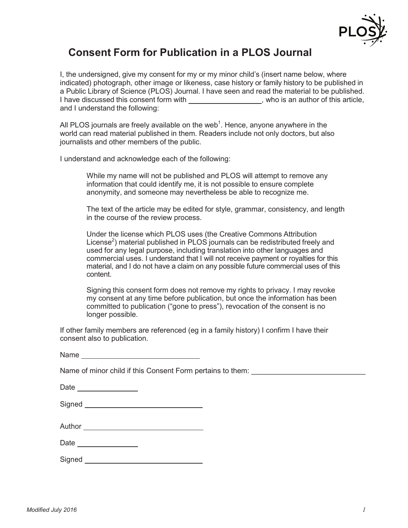

## **Consent Form for Publication in a PLOS Journal**

I, the undersigned, give my consent for my or my minor child's (insert name below, where indicated) photograph, other image or likeness, case history or family history to be published in a Public Library of Science (PLOS) Journal. I have seen and read the material to be published. I have discussed this consent form with \_\_\_\_\_\_\_\_\_\_\_\_\_\_\_\_\_\_, who is an author of this article, and I understand the following:

All PLOS journals are freely available on the web<sup>1</sup>. Hence, anyone anywhere in the world can read material published in them. Readers include not only doctors, but also journalists and other members of the public.

I understand and acknowledge each of the following:

While my name will not be published and PLOS will attempt to remove any information that could identify me, it is not possible to ensure complete anonymity, and someone may nevertheless be able to recognize me.

The text of the article may be edited for style, grammar, consistency, and length in the course of the review process.

Under the license which PLOS uses (the Creative Commons Attribution License<sup>2</sup>) material published in PLOS journals can be redistributed freely and used for any legal purpose, including translation into other languages and commercial uses. I understand that I will not receive payment or royalties for this material, and I do not have a claim on any possible future commercial uses of this content.

Signing this consent form does not remove my rights to privacy. I may revoke my consent at any time before publication, but once the information has been committed to publication ("gone to press"), revocation of the consent is no longer possible.

If other family members are referenced (eg in a family history) I confirm I have their consent also to publication.

Name of minor child if this Consent Form pertains to them:

|        | Author _______________ |  |
|--------|------------------------|--|
| Date_  |                        |  |
| Signed |                        |  |